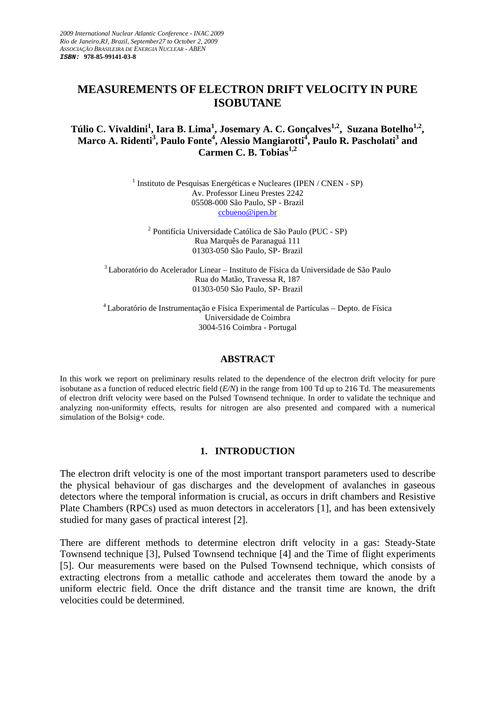# **MEASUREMENTS OF ELECTRON DRIFT VELOCITY IN PURE ISOBUTANE**

### **Túlio C. Vivaldini<sup>1</sup> , Iara B. Lima<sup>1</sup> , Josemary A. C. Gonçalves1,2, Suzana Botelho1,2 , Marco A. Ridenti<sup>3</sup> , Paulo Fonte<sup>4</sup> , Alessio Mangiarotti<sup>4</sup> , Paulo R. Pascholati<sup>3</sup> and Carmen C. B. Tobias1,2**

<sup>1</sup> Instituto de Pesquisas Energéticas e Nucleares (IPEN / CNEN - SP) Av. Professor Lineu Prestes 2242 05508-000 São Paulo, SP - Brazil ccbueno@ipen.br

2 Pontifícia Universidade Católica de São Paulo (PUC - SP) Rua Marquês de Paranaguá 111 01303-050 São Paulo, SP- Brazil

<sup>3</sup>Laboratório do Acelerador Linear – Instituto de Física da Universidade de São Paulo Rua do Matão, Travessa R, 187 01303-050 São Paulo, SP- Brazil

<sup>4</sup>Laboratório de Instrumentação e Física Experimental de Partículas – Depto. de Física Universidade de Coimbra 3004-516 Coimbra - Portugal

### **ABSTRACT**

In this work we report on preliminary results related to the dependence of the electron drift velocity for pure isobutane as a function of reduced electric field (*E/N*) in the range from 100 Td up to 216 Td. The measurements of electron drift velocity were based on the Pulsed Townsend technique. In order to validate the technique and analyzing non-uniformity effects, results for nitrogen are also presented and compared with a numerical simulation of the Bolsig+ code.

## **1. INTRODUCTION**

The electron drift velocity is one of the most important transport parameters used to describe the physical behaviour of gas discharges and the development of avalanches in gaseous detectors where the temporal information is crucial, as occurs in drift chambers and Resistive Plate Chambers (RPCs) used as muon detectors in accelerators [1], and has been extensively studied for many gases of practical interest [2].

There are different methods to determine electron drift velocity in a gas: Steady-State Townsend technique [3], Pulsed Townsend technique [4] and the Time of flight experiments [5]. Our measurements were based on the Pulsed Townsend technique, which consists of extracting electrons from a metallic cathode and accelerates them toward the anode by a uniform electric field. Once the drift distance and the transit time are known, the drift velocities could be determined.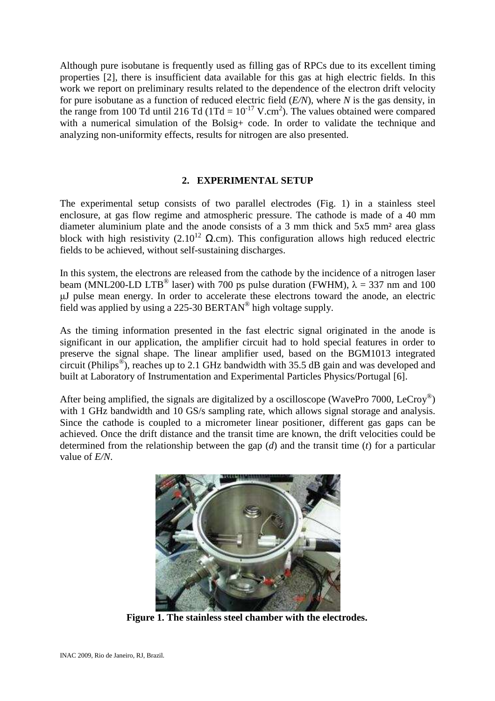Although pure isobutane is frequently used as filling gas of RPCs due to its excellent timing properties [2], there is insufficient data available for this gas at high electric fields. In this work we report on preliminary results related to the dependence of the electron drift velocity for pure isobutane as a function of reduced electric field (*E/N*), where *N* is the gas density, in the range from 100 Td until 216 Td (1Td =  $10^{-17}$  V.cm<sup>2</sup>). The values obtained were compared with a numerical simulation of the Bolsig+ code. In order to validate the technique and analyzing non-uniformity effects, results for nitrogen are also presented.

### **2. EXPERIMENTAL SETUP**

The experimental setup consists of two parallel electrodes (Fig. 1) in a stainless steel enclosure, at gas flow regime and atmospheric pressure. The cathode is made of a 40 mm diameter aluminium plate and the anode consists of a 3 mm thick and 5x5 mm² area glass block with high resistivity (2.10<sup>12</sup> Ω.cm). This configuration allows high reduced electric fields to be achieved, without self-sustaining discharges.

In this system, the electrons are released from the cathode by the incidence of a nitrogen laser beam (MNL200-LD LTB<sup>®</sup> laser) with 700 ps pulse duration (FWHM),  $\lambda = 337$  nm and 100 µJ pulse mean energy. In order to accelerate these electrons toward the anode, an electric field was applied by using a 225-30 BERTAN<sup>®</sup> high voltage supply.

As the timing information presented in the fast electric signal originated in the anode is significant in our application, the amplifier circuit had to hold special features in order to preserve the signal shape. The linear amplifier used, based on the BGM1013 integrated circuit (Philips<sup>®</sup>), reaches up to 2.1 GHz bandwidth with 35.5 dB gain and was developed and built at Laboratory of Instrumentation and Experimental Particles Physics/Portugal [6].

After being amplified, the signals are digitalized by a oscilloscope (WavePro 7000, LeCroy<sup>®</sup>) with 1 GHz bandwidth and 10 GS/s sampling rate, which allows signal storage and analysis. Since the cathode is coupled to a micrometer linear positioner, different gas gaps can be achieved. Once the drift distance and the transit time are known, the drift velocities could be determined from the relationship between the gap (*d*) and the transit time (*t*) for a particular value of *E/N*.



**Figure 1. The stainless steel chamber with the electrodes.**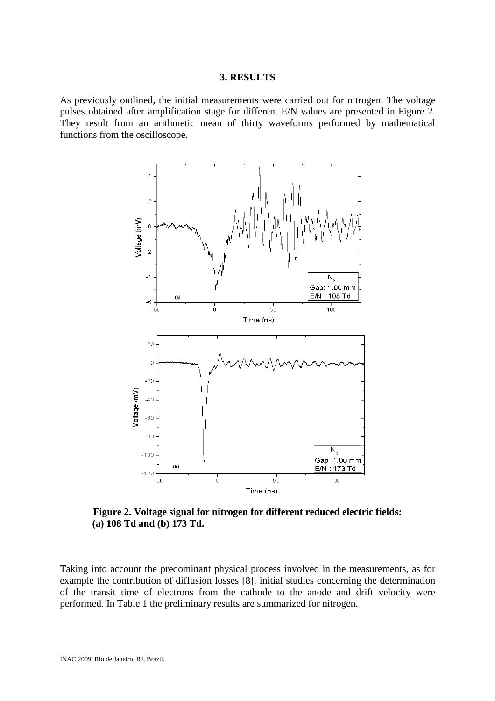### **3. RESULTS**

As previously outlined, the initial measurements were carried out for nitrogen. The voltage pulses obtained after amplification stage for different E/N values are presented in Figure 2. They result from an arithmetic mean of thirty waveforms performed by mathematical functions from the oscilloscope.



**Figure 2. Voltage signal for nitrogen for different reduced electric fields: (a) 108 Td and (b) 173 Td.** 

Taking into account the predominant physical process involved in the measurements, as for example the contribution of diffusion losses [8], initial studies concerning the determination of the transit time of electrons from the cathode to the anode and drift velocity were performed. In Table 1 the preliminary results are summarized for nitrogen.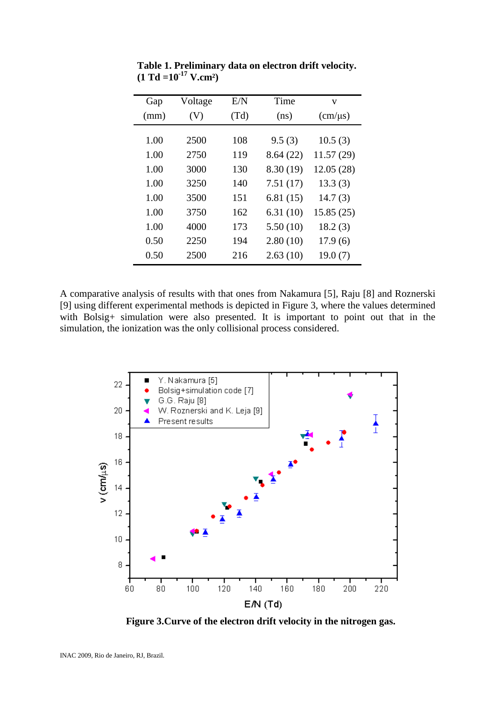| Gap  | Voltage | E/N  | Time      | v                         |
|------|---------|------|-----------|---------------------------|
| (mm) | (V)     | (Td) | (ns)      | $\text{(cm/}\mu\text{s)}$ |
|      |         |      |           |                           |
| 1.00 | 2500    | 108  | 9.5(3)    | 10.5(3)                   |
| 1.00 | 2750    | 119  | 8.64(22)  | 11.57(29)                 |
| 1.00 | 3000    | 130  | 8.30 (19) | 12.05(28)                 |
| 1.00 | 3250    | 140  | 7.51(17)  | 13.3(3)                   |
| 1.00 | 3500    | 151  | 6.81(15)  | 14.7(3)                   |
| 1.00 | 3750    | 162  | 6.31(10)  | 15.85(25)                 |
| 1.00 | 4000    | 173  | 5.50(10)  | 18.2(3)                   |
| 0.50 | 2250    | 194  | 2.80(10)  | 17.9(6)                   |
| 0.50 | 2500    | 216  | 2.63(10)  | 19.0(7)                   |

 **Table 1. Preliminary data on electron drift velocity.**   $(1 \text{ Td} = 10^{-17} \text{ V.cm}^2)$ 

A comparative analysis of results with that ones from Nakamura [5], Raju [8] and Roznerski [9] using different experimental methods is depicted in Figure 3, where the values determined with Bolsig+ simulation were also presented. It is important to point out that in the simulation, the ionization was the only collisional process considered.



 **Figure 3.Curve of the electron drift velocity in the nitrogen gas.**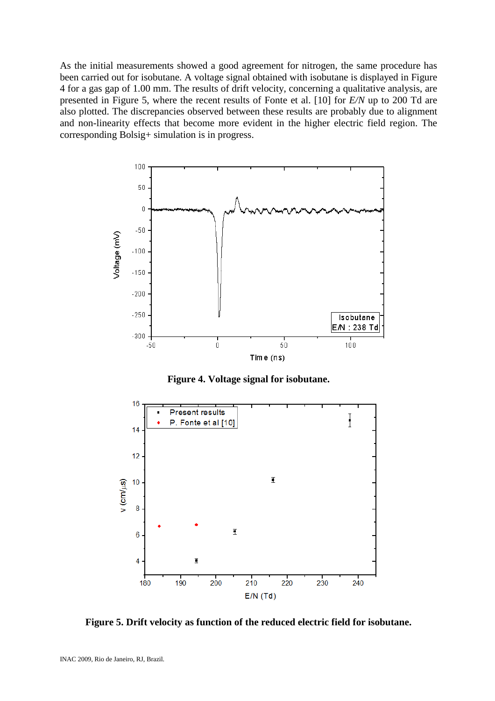As the initial measurements showed a good agreement for nitrogen, the same procedure has been carried out for isobutane. A voltage signal obtained with isobutane is displayed in Figure 4 for a gas gap of 1.00 mm. The results of drift velocity, concerning a qualitative analysis, are presented in Figure 5, where the recent results of Fonte et al. [10] for *E/N* up to 200 Td are also plotted. The discrepancies observed between these results are probably due to alignment and non-linearity effects that become more evident in the higher electric field region. The corresponding Bolsig+ simulation is in progress.



**Figure 4. Voltage signal for isobutane.** 



**Figure 5. Drift velocity as function of the reduced electric field for isobutane.**